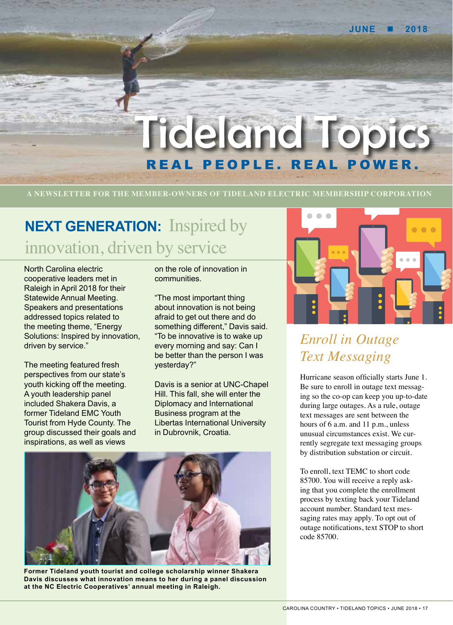

# rideland Top REAL PEOPLE. REAL POWER.

**A NEWSLETTER FOR THE MEMBER-OWNERS OF TIDELAND ELECTRIC MEMBERSHIP CORPORATION**

## **NEXT GENERATION:** Inspired by innovation, driven by service

North Carolina electric cooperative leaders met in Raleigh in April 2018 for their Statewide Annual Meeting. Speakers and presentations addressed topics related to the meeting theme, "Energy Solutions: Inspired by innovation, driven by service."

The meeting featured fresh perspectives from our state's youth kicking off the meeting. A youth leadership panel included Shakera Davis, a former Tideland EMC Youth Tourist from Hyde County. The group discussed their goals and inspirations, as well as views

on the role of innovation in communities.

"The most important thing about innovation is not being afraid to get out there and do something different," Davis said. "To be innovative is to wake up every morning and say: Can I be better than the person I was yesterday?"

Davis is a senior at UNC-Chapel Hill. This fall, she will enter the Diplomacy and International Business program at the Libertas International University in Dubrovnik, Croatia.



**Former Tideland youth tourist and college scholarship winner Shakera Davis discusses what innovation means to her during a panel discussion at the NC Electric Cooperatives' annual meeting in Raleigh.**



### *Enroll in Outage Text Messaging*

Hurricane season officially starts June 1. Be sure to enroll in outage text messaging so the co-op can keep you up-to-date during large outages. As a rule, outage text messages are sent between the hours of 6 a.m. and 11 p.m., unless unusual circumstances exist. We currently segregate text messaging groups by distribution substation or circuit.

To enroll, text TEMC to short code 85700. You will receive a reply asking that you complete the enrollment process by texting back your Tideland account number. Standard text messaging rates may apply. To opt out of outage notifications, text STOP to short code 85700.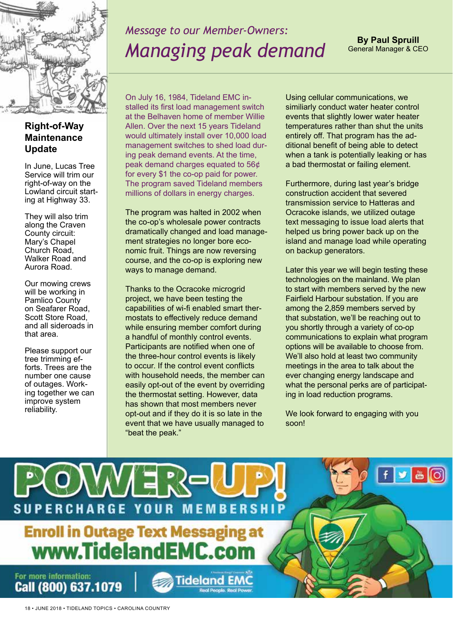

### *Message to our Member-Owners: Managing peak demand*

**By Paul Spruill** General Manager & CEO

#### **Right-of-Way Maintenance Update**

In June, Lucas Tree Service will trim our right-of-way on the Lowland circuit starting at Highway 33.

They will also trim along the Craven County circuit: Mary's Chapel Church Road, Walker Road and Aurora Road.

Our mowing crews will be working in Pamlico County on Seafarer Road, Scott Store Road, and all sideroads in that area.

Please support our tree trimming efforts. Trees are the number one cause of outages. Working together we can improve system reliability.

On July 16, 1984, Tideland EMC installed its first load management switch at the Belhaven home of member Willie Allen. Over the next 15 years Tideland would ultimately install over 10,000 load management switches to shed load during peak demand events. At the time, peak demand charges equated to 56¢ for every \$1 the co-op paid for power. The program saved Tideland members millions of dollars in energy charges.

The program was halted in 2002 when the co-op's wholesale power contracts dramatically changed and load management strategies no longer bore economic fruit. Things are now reversing course, and the co-op is exploring new ways to manage demand.

Thanks to the Ocracoke microgrid project, we have been testing the capabilities of wi-fi enabled smart thermostats to effectively reduce demand while ensuring member comfort during a handful of monthly control events. Participants are notified when one of the three-hour control events is likely to occur. If the control event conflicts with household needs, the member can easily opt-out of the event by overriding the thermostat setting. However, data has shown that most members never opt-out and if they do it is so late in the event that we have usually managed to "beat the peak."

Using cellular communications, we similiarly conduct water heater control events that slightly lower water heater temperatures rather than shut the units entirely off. That program has the additional benefit of being able to detect when a tank is potentially leaking or has a bad thermostat or failing element.

Furthermore, during last year's bridge construction accident that severed transmission service to Hatteras and Ocracoke islands, we utilized outage text messaging to issue load alerts that helped us bring power back up on the island and manage load while operating on backup generators.

Later this year we will begin testing these technologies on the mainland. We plan to start with members served by the new Fairfield Harbour substation. If you are among the 2,859 members served by that substation, we'll be reaching out to you shortly through a variety of co-op communications to explain what program options will be available to choose from. We'll also hold at least two community meetings in the area to talk about the ever changing energy landscape and what the personal perks are of participating in load reduction programs.

We look forward to engaging with you soon!

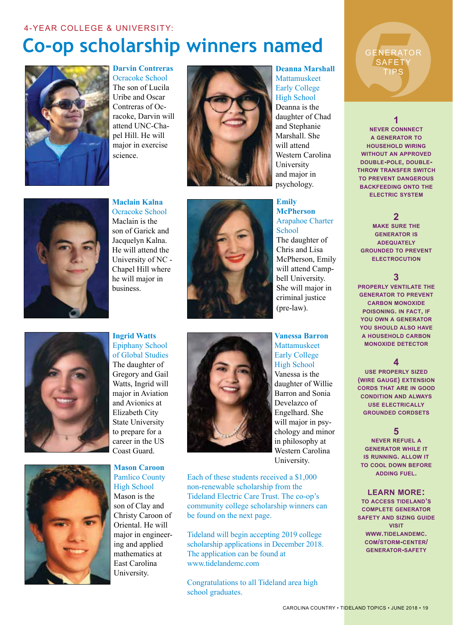## **Co-op scholarship winners named**



**Darvin Contreras** Ocracoke School The son of Lucila Uribe and Oscar Contreras of Ocracoke, Darvin will attend UNC-Chapel Hill. He will major in exercise science.



**Deanna Marshall** Mattamuskeet Early College High School Deanna is the daughter of Chad and Stephanie Marshall. She will attend Western Carolina University and major in

psychology. **Emily McPherson** Arapahoe Charter School The daughter of Chris and Lisa McPherson, Emily will attend Campbell University. She will major in criminal justice (pre-law).

**Vanessa Barron** Mattamuskeet Early College High School Vanessa is the daughter of Willie Barron and Sonia Develazco of Engelhard. She will major in psychology and minor

in philosophy at Western Carolina University.

Each of these students received a \$1,000 non-renewable scholarship from the Tideland Electric Care Trust. The co-op's community college scholarship winners can be found on the next page.

Tideland will begin accepting 2019 college scholarship applications in December 2018. The application can be found at www.tidelandemc.com

Congratulations to all Tideland area high school graduates.

SENERATO TIPS

**GENERATOR SAFETY** 

**1**

**never connnect a generator to household wiring without an approved double-pole, doublethrow transfer switch to prevent dangerous backfeeding onto the electric system**

**2**

**make sure the generator is adequately grounded to prevent electrocution**

#### **3**

**properly ventilate the generator to prevent carbon monoxide poisoning. in fact, if you own a generator you should also have a household carbon monoxide detector**

#### **4**

**use properly sized (wire gauge) extension cords that are in good condition and always use electrically grounded cordsets**

#### **5**

**never refuel a generator while it is running. allow it to cool down before adding fuel.**

#### **learn more:**

**to access tideland's complete generator safety and sizing guide visit www.tidelandemc. com/storm-center/ generator-safety**



Ocracoke School Maclain is the son of Garick and Jacquelyn Kalna. He will attend the University of NC - Chapel Hill where he will major in business.

**Maclain Kalna**



**Ingrid Watts** Epiphany School of Global Studies The daughter of Gregory and Gail Watts, Ingrid will major in Aviation and Avionics at Elizabeth City State University to prepare for a career in the US Coast Guard.



**Mason Caroon** Pamlico County High School Mason is the son of Clay and Christy Caroon of Oriental. He will major in engineering and applied mathematics at East Carolina University.